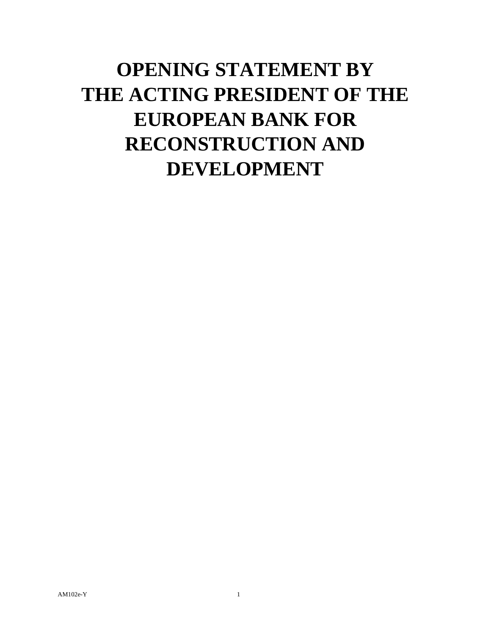## **OPENING STATEMENT BY THE ACTING PRESIDENT OF THE EUROPEAN BANK FOR RECONSTRUCTION AND DEVELOPMENT**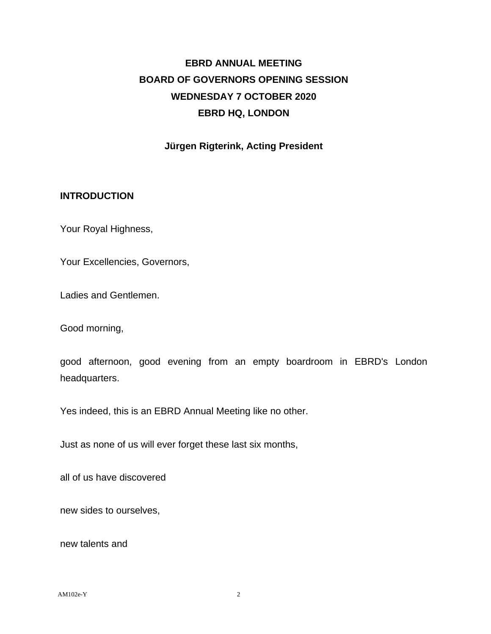## **EBRD ANNUAL MEETING BOARD OF GOVERNORS OPENING SESSION WEDNESDAY 7 OCTOBER 2020 EBRD HQ, LONDON**

**Jürgen Rigterink, Acting President**

## **INTRODUCTION**

Your Royal Highness,

Your Excellencies, Governors,

Ladies and Gentlemen.

Good morning,

good afternoon, good evening from an empty boardroom in EBRD's London headquarters.

Yes indeed, this is an EBRD Annual Meeting like no other.

Just as none of us will ever forget these last six months,

all of us have discovered

new sides to ourselves,

new talents and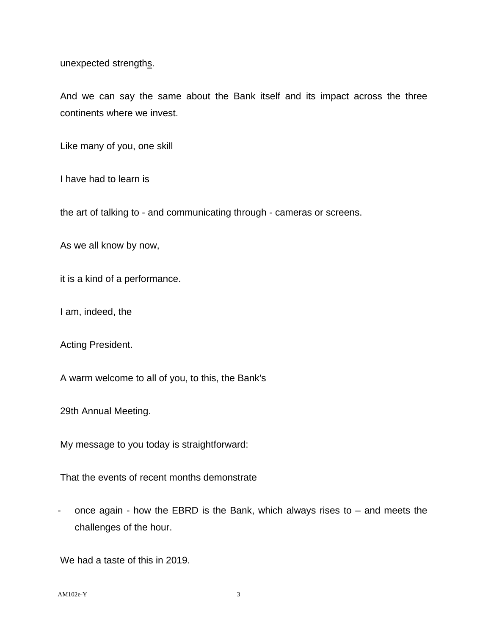unexpected strengths.

And we can say the same about the Bank itself and its impact across the three continents where we invest.

Like many of you, one skill

I have had to learn is

the art of talking to - and communicating through - cameras or screens.

As we all know by now,

it is a kind of a performance.

I am, indeed, the

Acting President.

A warm welcome to all of you, to this, the Bank's

29th Annual Meeting.

My message to you today is straightforward:

That the events of recent months demonstrate

- once again - how the EBRD is the Bank, which always rises to – and meets the challenges of the hour.

We had a taste of this in 2019.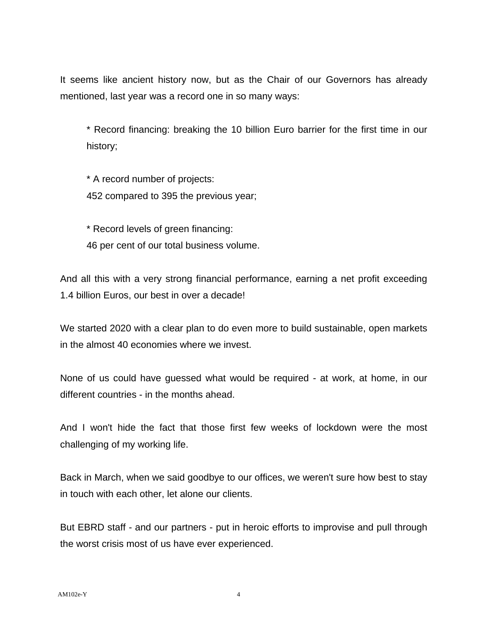It seems like ancient history now, but as the Chair of our Governors has already mentioned, last year was a record one in so many ways:

\* Record financing: breaking the 10 billion Euro barrier for the first time in our history;

\* A record number of projects: 452 compared to 395 the previous year;

\* Record levels of green financing: 46 per cent of our total business volume.

And all this with a very strong financial performance, earning a net profit exceeding 1.4 billion Euros, our best in over a decade!

We started 2020 with a clear plan to do even more to build sustainable, open markets in the almost 40 economies where we invest.

None of us could have guessed what would be required - at work, at home, in our different countries - in the months ahead.

And I won't hide the fact that those first few weeks of lockdown were the most challenging of my working life.

Back in March, when we said goodbye to our offices, we weren't sure how best to stay in touch with each other, let alone our clients.

But EBRD staff - and our partners - put in heroic efforts to improvise and pull through the worst crisis most of us have ever experienced.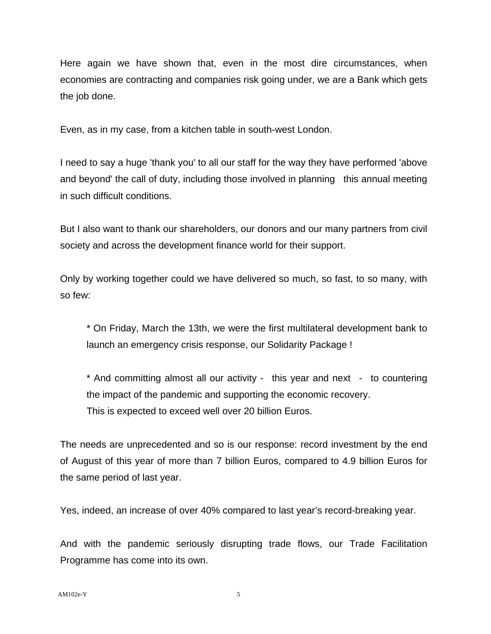Here again we have shown that, even in the most dire circumstances, when economies are contracting and companies risk going under, we are a Bank which gets the job done.

Even, as in my case, from a kitchen table in south-west London.

I need to say a huge 'thank you' to all our staff for the way they have performed 'above and beyond' the call of duty, including those involved in planning this annual meeting in such difficult conditions.

But I also want to thank our shareholders, our donors and our many partners from civil society and across the development finance world for their support.

Only by working together could we have delivered so much, so fast, to so many, with so few:

\* On Friday, March the 13th, we were the first multilateral development bank to launch an emergency crisis response, our Solidarity Package !

\* And committing almost all our activity - this year and next - to countering the impact of the pandemic and supporting the economic recovery. This is expected to exceed well over 20 billion Euros.

The needs are unprecedented and so is our response: record investment by the end of August of this year of more than 7 billion Euros, compared to 4.9 billion Euros for the same period of last year.

Yes, indeed, an increase of over 40% compared to last year's record-breaking year.

And with the pandemic seriously disrupting trade flows, our Trade Facilitation Programme has come into its own.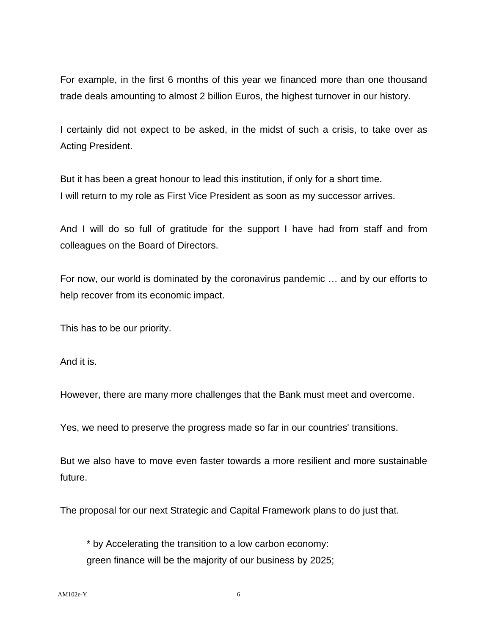For example, in the first 6 months of this year we financed more than one thousand trade deals amounting to almost 2 billion Euros, the highest turnover in our history.

I certainly did not expect to be asked, in the midst of such a crisis, to take over as Acting President.

But it has been a great honour to lead this institution, if only for a short time. I will return to my role as First Vice President as soon as my successor arrives.

And I will do so full of gratitude for the support I have had from staff and from colleagues on the Board of Directors.

For now, our world is dominated by the coronavirus pandemic … and by our efforts to help recover from its economic impact.

This has to be our priority.

And it is.

However, there are many more challenges that the Bank must meet and overcome.

Yes, we need to preserve the progress made so far in our countries' transitions.

But we also have to move even faster towards a more resilient and more sustainable future.

The proposal for our next Strategic and Capital Framework plans to do just that.

\* by Accelerating the transition to a low carbon economy: green finance will be the majority of our business by 2025;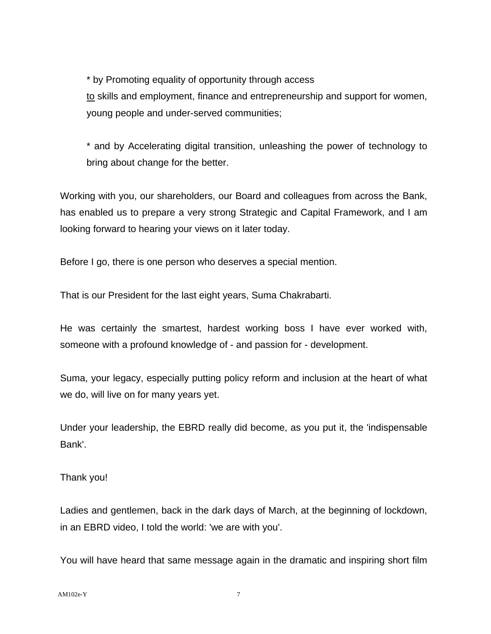\* by Promoting equality of opportunity through access to skills and employment, finance and entrepreneurship and support for women, young people and under-served communities;

\* and by Accelerating digital transition, unleashing the power of technology to bring about change for the better.

Working with you, our shareholders, our Board and colleagues from across the Bank, has enabled us to prepare a very strong Strategic and Capital Framework, and I am looking forward to hearing your views on it later today.

Before I go, there is one person who deserves a special mention.

That is our President for the last eight years, Suma Chakrabarti.

He was certainly the smartest, hardest working boss I have ever worked with, someone with a profound knowledge of - and passion for - development.

Suma, your legacy, especially putting policy reform and inclusion at the heart of what we do, will live on for many years yet.

Under your leadership, the EBRD really did become, as you put it, the 'indispensable Bank'.

## Thank you!

Ladies and gentlemen, back in the dark days of March, at the beginning of lockdown, in an EBRD video, I told the world: 'we are with you'.

You will have heard that same message again in the dramatic and inspiring short film